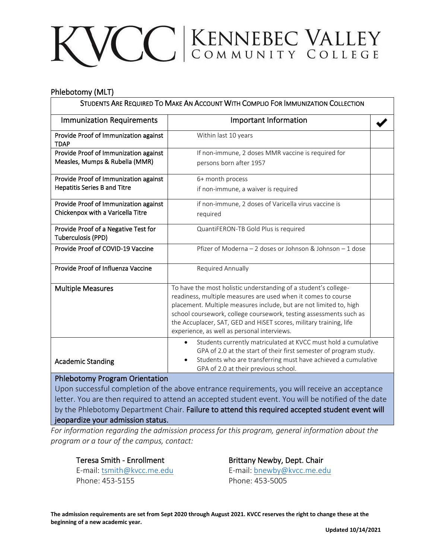## VCC KENNEBEC VALLEY

## Phlebotomy (MLT)

| STUDENTS ARE REQUIRED TO MAKE AN ACCOUNT WITH COMPLIO FOR IMMUNIZATION COLLECTION |                                                                                                                                          |  |
|-----------------------------------------------------------------------------------|------------------------------------------------------------------------------------------------------------------------------------------|--|
| <b>Immunization Requirements</b>                                                  | <b>Important Information</b>                                                                                                             |  |
| Provide Proof of Immunization against<br><b>TDAP</b>                              | Within last 10 years                                                                                                                     |  |
| Provide Proof of Immunization against                                             | If non-immune, 2 doses MMR vaccine is required for                                                                                       |  |
| Measles, Mumps & Rubella (MMR)                                                    | persons born after 1957                                                                                                                  |  |
| Provide Proof of Immunization against                                             | 6+ month process                                                                                                                         |  |
| <b>Hepatitis Series B and Titre</b>                                               | if non-immune, a waiver is required                                                                                                      |  |
| Provide Proof of Immunization against                                             | if non-immune, 2 doses of Varicella virus vaccine is                                                                                     |  |
| Chickenpox with a Varicella Titre                                                 | required                                                                                                                                 |  |
| Provide Proof of a Negative Test for                                              | QuantiFERON-TB Gold Plus is required                                                                                                     |  |
| Tuberculosis (PPD)                                                                |                                                                                                                                          |  |
| Provide Proof of COVID-19 Vaccine                                                 | Pfizer of Moderna – 2 doses or Johnson & Johnson – 1 dose                                                                                |  |
| Provide Proof of Influenza Vaccine                                                | Required Annually                                                                                                                        |  |
| <b>Multiple Measures</b>                                                          | To have the most holistic understanding of a student's college-                                                                          |  |
|                                                                                   | readiness, multiple measures are used when it comes to course                                                                            |  |
|                                                                                   | placement. Multiple measures include, but are not limited to, high                                                                       |  |
|                                                                                   | school coursework, college coursework, testing assessments such as<br>the Accuplacer, SAT, GED and HiSET scores, military training, life |  |
|                                                                                   | experience, as well as personal interviews.                                                                                              |  |
|                                                                                   | Students currently matriculated at KVCC must hold a cumulative<br>$\bullet$                                                              |  |
|                                                                                   | GPA of 2.0 at the start of their first semester of program study.                                                                        |  |
| <b>Academic Standing</b>                                                          | Students who are transferring must have achieved a cumulative<br>GPA of 2.0 at their previous school.                                    |  |
| $\mathbf{A}$ . The state $\mathbf{A}$ is the state of $\mathbf{A}$                |                                                                                                                                          |  |

## Phlebotomy Program Orientation

Upon successful completion of the above entrance requirements, you will receive an acceptance letter. You are then required to attend an accepted student event. You will be notified of the date by the Phlebotomy Department Chair. Failure to attend this required accepted student event will jeopardize your admission status.

*For information regarding the admission process for this program, general information about the program or a tour of the campus, contact:*

Teresa Smith - Enrollment **Brittany Newby, Dept. Chair** 

Phone: 453-5155 Phone: 453-5005

E-mail: [tsmith@kvcc.me.edu](mailto:tsmith@kvcc.me.edu) E-mail: [bnewby@kvcc.me.edu](mailto:bnewby@kvcc.me.edu)